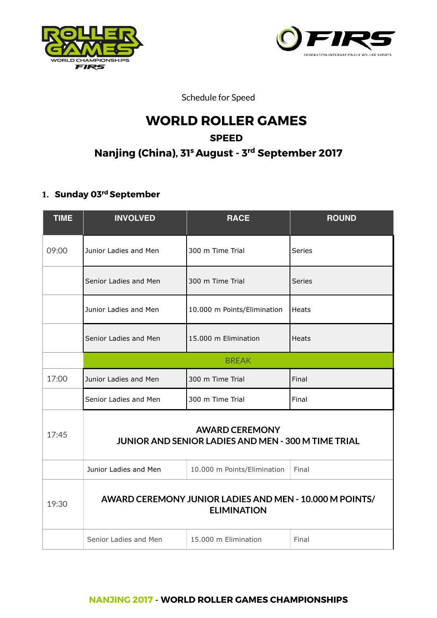



Schedule for Speed

# **WORLD ROLLER GAMES SPEED Nanjing (China), 31s August - 3rd September 2017**

### **1. Sunday 03rd September**

| <b>TIME</b> | <b>INVOLVED</b>                                                                     | <b>RACE</b>                 | <b>ROUND</b>  |
|-------------|-------------------------------------------------------------------------------------|-----------------------------|---------------|
| 09:00       | Junior Ladies and Men                                                               | 300 m Time Trial            | <b>Series</b> |
|             | Senior Ladies and Men                                                               | 300 m Time Trial            | Series        |
|             | Junior Ladies and Men                                                               | 10.000 m Points/Elimination | Heats         |
|             | Senior Ladies and Men                                                               | 15.000 m Elimination        | Heats         |
|             | <b>BREAK</b>                                                                        |                             |               |
| 17:00       | Junior Ladies and Men                                                               | 300 m Time Trial            | Final         |
|             | Senior Ladies and Men                                                               | 300 m Time Trial            | Final         |
| 17:45       | <b>AWARD CEREMONY</b><br><b>JUNIOR AND SENIOR LADIES AND MEN - 300 M TIME TRIAL</b> |                             |               |
|             | Junior Ladies and Men                                                               | 10.000 m Points/Elimination | Final         |
| 19:30       | AWARD CEREMONY JUNIOR LADIES AND MEN - 10.000 M POINTS/<br><b>ELIMINATION</b>       |                             |               |
|             | Senior Ladies and Men                                                               | 15,000 m Elimination        | Final         |

#### **NANJING 2017** - **WORLD ROLLER GAMES CHAMPIONSHIPS**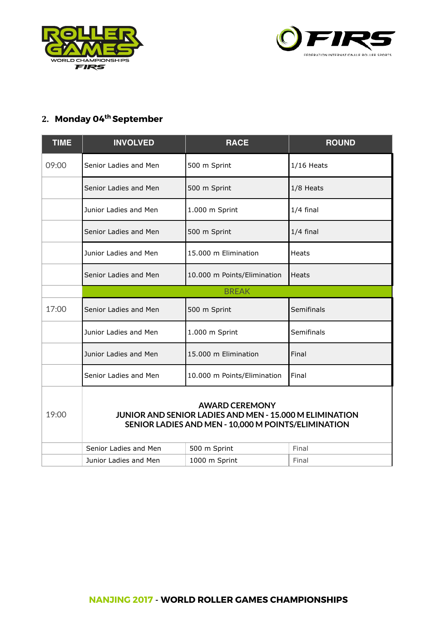



### **2. Monday 04th September**

| <b>TIME</b> | <b>INVOLVED</b>                                                                                                                                | <b>RACE</b>                 | <b>ROUND</b> |
|-------------|------------------------------------------------------------------------------------------------------------------------------------------------|-----------------------------|--------------|
| 09:00       | Senior Ladies and Men                                                                                                                          | 500 m Sprint                | $1/16$ Heats |
|             | Senior Ladies and Men                                                                                                                          | 500 m Sprint                | 1/8 Heats    |
|             | Junior Ladies and Men                                                                                                                          | 1.000 m Sprint              | $1/4$ final  |
|             | Senior Ladies and Men                                                                                                                          | 500 m Sprint                | $1/4$ final  |
|             | Junior Ladies and Men                                                                                                                          | 15.000 m Elimination        | Heats        |
|             | Senior Ladies and Men                                                                                                                          | 10.000 m Points/Elimination | Heats        |
|             | <b>BREAK</b>                                                                                                                                   |                             |              |
| 17:00       | Senior Ladies and Men                                                                                                                          | 500 m Sprint                | Semifinals   |
|             | Junior Ladies and Men                                                                                                                          | 1.000 m Sprint              | Semifinals   |
|             | Junior Ladies and Men                                                                                                                          | 15.000 m Elimination        | Final        |
|             | Senior Ladies and Men                                                                                                                          | 10.000 m Points/Elimination | Final        |
| 19:00       | <b>AWARD CEREMONY</b><br><b>JUNIOR AND SENIOR LADIES AND MEN - 15.000 M ELIMINATION</b><br>SENIOR LADIES AND MEN - 10,000 M POINTS/ELIMINATION |                             |              |
|             | Senior Ladies and Men                                                                                                                          | 500 m Sprint                | Final        |
|             | Junior Ladies and Men                                                                                                                          | 1000 m Sprint               | Final        |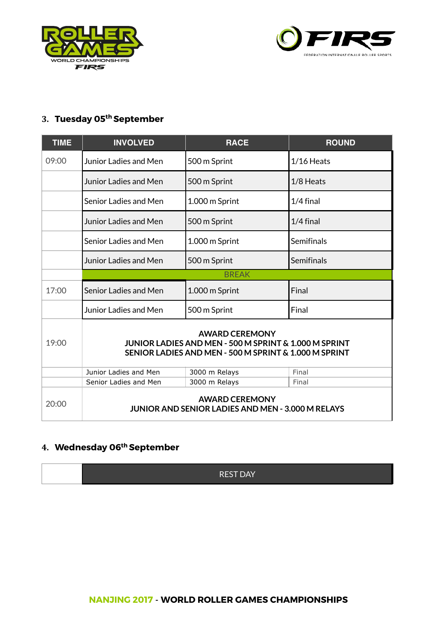



# **3. Tuesday 05th September**

| <b>TIME</b> | <b>INVOLVED</b>                                                                                                                         | <b>RACE</b>    | <b>ROUND</b> |
|-------------|-----------------------------------------------------------------------------------------------------------------------------------------|----------------|--------------|
| 09:00       | Junior Ladies and Men                                                                                                                   | 500 m Sprint   | $1/16$ Heats |
|             | <b>Junior Ladies and Men</b>                                                                                                            | 500 m Sprint   | 1/8 Heats    |
|             | Senior Ladies and Men                                                                                                                   | 1.000 m Sprint | $1/4$ final  |
|             | Junior Ladies and Men                                                                                                                   | 500 m Sprint   | $1/4$ final  |
|             | Senior Ladies and Men                                                                                                                   | 1.000 m Sprint | Semifinals   |
|             | Junior Ladies and Men                                                                                                                   | 500 m Sprint   | Semifinals   |
|             | <b>BREAK</b>                                                                                                                            |                |              |
| 17:00       | Senior Ladies and Men                                                                                                                   | 1.000 m Sprint | Final        |
|             | Junior Ladies and Men                                                                                                                   | 500 m Sprint   | Final        |
| 19:00       | <b>AWARD CEREMONY</b><br>JUNIOR LADIES AND MEN - 500 M SPRINT & 1,000 M SPRINT<br>SENIOR LADIES AND MEN - 500 M SPRINT & 1.000 M SPRINT |                |              |
|             | Junior Ladies and Men                                                                                                                   | 3000 m Relays  | Final        |
|             | Senior Ladies and Men                                                                                                                   | 3000 m Relays  | Final        |
| 20:00       | <b>AWARD CEREMONY</b><br><b>JUNIOR AND SENIOR LADIES AND MEN - 3.000 M RELAYS</b>                                                       |                |              |

### **4. Wednesday 06th September**

REST DAY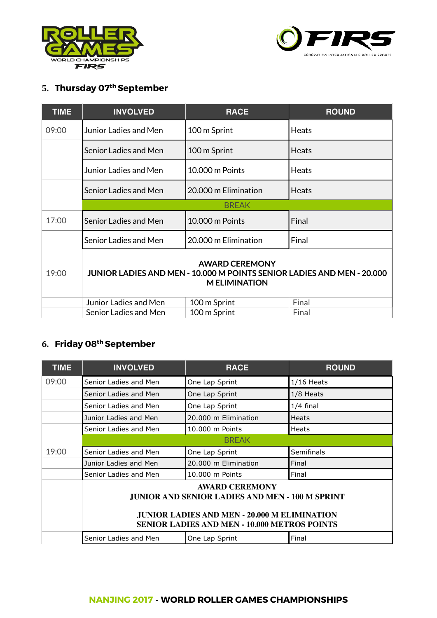



## **5. Thursday 07th September**

| <b>TIME</b> | <b>INVOLVED</b>                                                                                                        | <b>RACE</b>          | <b>ROUND</b> |
|-------------|------------------------------------------------------------------------------------------------------------------------|----------------------|--------------|
| 09:00       | Junior Ladies and Men                                                                                                  | 100 m Sprint         | Heats        |
|             | Senior Ladies and Men                                                                                                  | 100 m Sprint         | Heats        |
|             | Junior Ladies and Men                                                                                                  | 10.000 m Points      | Heats        |
|             | Senior Ladies and Men                                                                                                  | 20,000 m Elimination | <b>Heats</b> |
|             | <b>BREAK</b>                                                                                                           |                      |              |
| 17:00       | Senior Ladies and Men                                                                                                  | 10.000 m Points      | Final        |
|             | Senior Ladies and Men                                                                                                  | 20.000 m Elimination | Final        |
| 19:00       | <b>AWARD CEREMONY</b><br>JUNIOR LADIES AND MEN - 10.000 M POINTS SENIOR LADIES AND MEN - 20.000<br><b>MELIMINATION</b> |                      |              |
|             | Junior Ladies and Men                                                                                                  | 100 m Sprint         | Final        |
|             | Senior Ladies and Men                                                                                                  | 100 m Sprint         | Final        |

# **6. Friday 08th September**

| <b>TIME</b> | <b>INVOLVED</b>                                                                                                                                                                               | <b>RACE</b>          | <b>ROUND</b> |
|-------------|-----------------------------------------------------------------------------------------------------------------------------------------------------------------------------------------------|----------------------|--------------|
| 09:00       | Senior Ladies and Men                                                                                                                                                                         | One Lap Sprint       | $1/16$ Heats |
|             | Senior Ladies and Men                                                                                                                                                                         | One Lap Sprint       | 1/8 Heats    |
|             | Senior Ladies and Men                                                                                                                                                                         | One Lap Sprint       | $1/4$ final  |
|             | Junior Ladies and Men                                                                                                                                                                         | 20,000 m Elimination | <b>Heats</b> |
|             | Senior Ladies and Men                                                                                                                                                                         | 10.000 m Points      | <b>Heats</b> |
|             | <b>BREAK</b>                                                                                                                                                                                  |                      |              |
| 19:00       | Senior Ladies and Men                                                                                                                                                                         | One Lap Sprint       | Semifinals   |
|             | Junior Ladies and Men                                                                                                                                                                         | 20.000 m Elimination | Final        |
|             | Senior Ladies and Men                                                                                                                                                                         | 10.000 m Points      | Final        |
|             | <b>AWARD CEREMONY</b><br><b>JUNIOR AND SENIOR LADIES AND MEN - 100 M SPRINT</b><br><b>JUNIOR LADIES AND MEN - 20.000 M ELIMINATION</b><br><b>SENIOR LADIES AND MEN - 10.000 METROS POINTS</b> |                      |              |
|             | Senior Ladies and Men                                                                                                                                                                         | One Lap Sprint       | Final        |